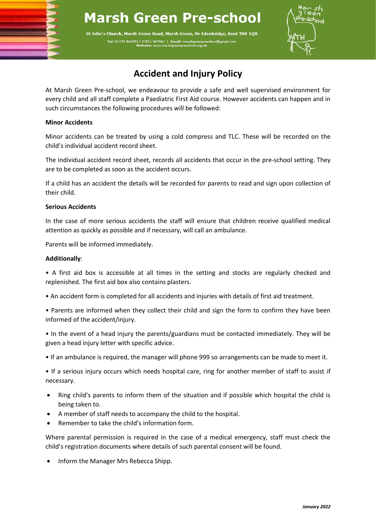# **Marsh Green Pre-school**

St John's Church, Marsh Green Road, Marsh Green, Nr Edenbridge, Kent TN8 5QR Tel: 01732 864553 / 07811 987041 | En



## **Accident and Injury Policy**

At Marsh Green Pre-school, we endeavour to provide a safe and well supervised environment for every child and all staff complete a Paediatric First Aid course. However accidents can happen and in such circumstances the following procedures will be followed:

### **Minor Accidents**

Minor accidents can be treated by using a cold compress and TLC. These will be recorded on the child's individual accident record sheet.

The individual accident record sheet, records all accidents that occur in the pre-school setting. They are to be completed as soon as the accident occurs.

If a child has an accident the details will be recorded for parents to read and sign upon collection of their child.

### **Serious Accidents**

In the case of more serious accidents the staff will ensure that children receive qualified medical attention as quickly as possible and if necessary, will call an ambulance.

Parents will be informed immediately.

### **Additionally**:

• A first aid box is accessible at all times in the setting and stocks are regularly checked and replenished. The first aid box also contains plasters.

- An accident form is completed for all accidents and injuries with details of first aid treatment.
- Parents are informed when they collect their child and sign the form to confirm they have been informed of the accident/injury.
- In the event of a head injury the parents/guardians must be contacted immediately. They will be given a head injury letter with specific advice.
- If an ambulance is required, the manager will phone 999 so arrangements can be made to meet it.

• If a serious injury occurs which needs hospital care, ring for another member of staff to assist if necessary.

- Ring child's parents to inform them of the situation and if possible which hospital the child is being taken to.
- A member of staff needs to accompany the child to the hospital.
- Remember to take the child's information form.

Where parental permission is required in the case of a medical emergency, staff must check the child's registration documents where details of such parental consent will be found.

• Inform the Manager Mrs Rebecca Shipp.